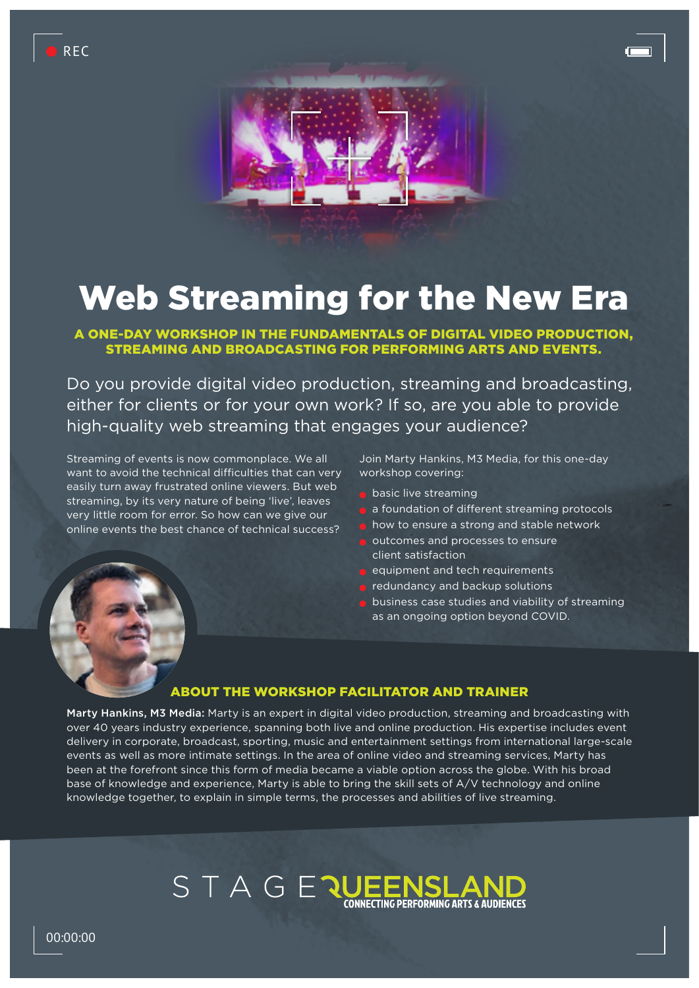



# Web Streaming for the New Era

A ONE-DAY WORKSHOP IN THE FUNDAMENTALS OF DIGITAL VIDEO PRODUCTION, STREAMING AND BROADCASTING FOR PERFORMING ARTS AND EVENTS.

Do you provide digital video production, streaming and broadcasting, either for clients or for your own work? If so, are you able to provide high-quality web streaming that engages your audience?

Streaming of events is now commonplace. We all want to avoid the technical difficulties that can very easily turn away frustrated online viewers. But web streaming, by its very nature of being 'live', leaves very little room for error. So how can we give our online events the best chance of technical success?

Join Marty Hankins, M3 Media, for this one-day workshop covering:

- **basic live streaming**
- a foundation of different streaming protocols
- how to ensure a strong and stable network
- outcomes and processes to ensure client satisfaction
- equipment and tech requirements
- redundancy and backup solutions
- business case studies and viability of streaming as an ongoing option beyond COVID.

#### ABOUT THE WORKSHOP FACILITATOR AND TRAINER

Marty Hankins, M3 Media: Marty is an expert in digital video production, streaming and broadcasting with over 40 years industry experience, spanning both live and online production. His expertise includes event delivery in corporate, broadcast, sporting, music and entertainment settings from international large-scale events as well as more intimate settings. In the area of online video and streaming services, Marty has been at the forefront since this form of media became a viable option across the globe. With his broad base of knowledge and experience, Marty is able to bring the skill sets of A/V technology and online knowledge together, to explain in simple terms, the processes and abilities of live streaming.

### STAGER **CONNECTING PERFORMING ARTS & AUDIENCES**

00:00:00